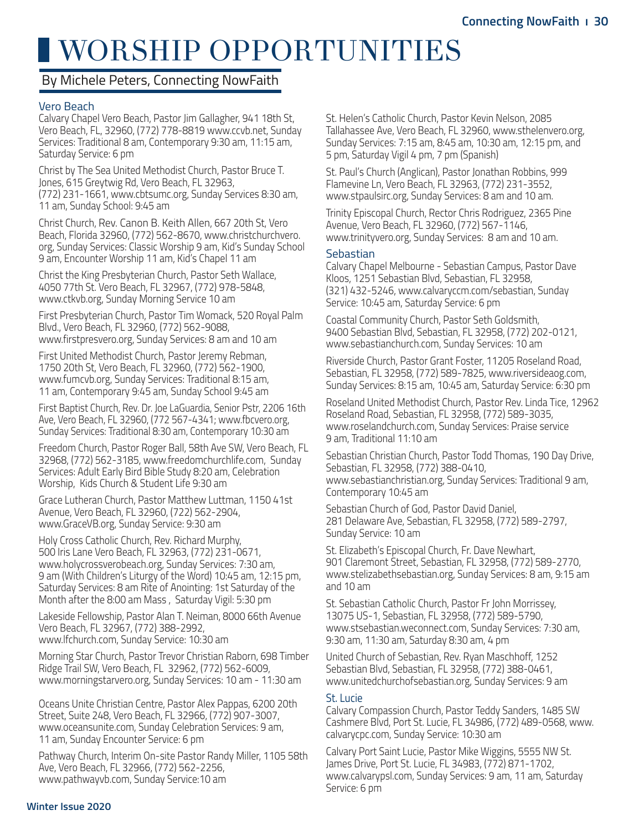# WORSHIP OPPORTUNITIES

# By Michele Peters, Connecting NowFaith

### Vero Beach

Calvary Chapel Vero Beach, Pastor Jim Gallagher, 941 18th St, Vero Beach, FL, 32960, (772) 778-8819 www.ccvb.net, Sunday Services: Traditional 8 am, Contemporary 9:30 am, 11:15 am, Saturday Service: 6 pm

Christ by The Sea United Methodist Church, Pastor Bruce T. Jones, 615 Greytwig Rd, Vero Beach, FL 32963, (772) 231-1661, www.cbtsumc.org, Sunday Services 8:30 am, 11 am, Sunday School: 9:45 am

Christ Church, Rev. Canon B. Keith Allen, 667 20th St, Vero Beach, Florida 32960, (772) 562-8670, www.christchurchvero. org, Sunday Services: Classic Worship 9 am, Kid's Sunday School 9 am, Encounter Worship 11 am, Kid's Chapel 11 am

Christ the King Presbyterian Church, Pastor Seth Wallace, 4050 77th St. Vero Beach, FL 32967, (772) 978-5848, www.ctkvb.org, Sunday Morning Service 10 am

First Presbyterian Church, Pastor Tim Womack, 520 Royal Palm Blvd., Vero Beach, FL 32960, (772) 562-9088, www.firstpresvero.org, Sunday Services: 8 am and 10 am

First United Methodist Church, Pastor Jeremy Rebman, 1750 20th St, Vero Beach, FL 32960, (772) 562-1900, www.fumcvb.org, Sunday Services: Traditional 8:15 am, 11 am, Contemporary 9:45 am, Sunday School 9:45 am

First Baptist Church, Rev. Dr. Joe LaGuardia, Senior Pstr, 2206 16th Ave, Vero Beach, FL 32960, (772 567-4341; www.fbcvero.org, Sunday Services: Traditional 8:30 am, Contemporary 10:30 am

Freedom Church, Pastor Roger Ball, 58th Ave SW, Vero Beach, FL 32968, (772) 562-3185, www.freedomchurchlife.com, Sunday Services: Adult Early Bird Bible Study 8:20 am, Celebration Worship, Kids Church & Student Life 9:30 am

Grace Lutheran Church, Pastor Matthew Luttman, 1150 41st Avenue, Vero Beach, FL 32960, (722) 562-2904, www.GraceVB.org, Sunday Service: 9:30 am

Holy Cross Catholic Church, Rev. Richard Murphy, 500 Iris Lane Vero Beach, FL 32963, (772) 231-0671, www.holycrossverobeach.org, Sunday Services: 7:30 am, 9 am (With Children's Liturgy of the Word) 10:45 am, 12:15 pm, Saturday Services: 8 am Rite of Anointing: 1st Saturday of the Month after the 8:00 am Mass , Saturday Vigil: 5:30 pm

Lakeside Fellowship, Pastor Alan T. Neiman, 8000 66th Avenue Vero Beach, FL 32967, (772) 388-2992, www.lfchurch.com, Sunday Service: 10:30 am

Morning Star Church, Pastor Trevor Christian Raborn, 698 Timber Ridge Trail SW, Vero Beach, FL 32962, (772) 562-6009, www.morningstarvero.org, Sunday Services: 10 am - 11:30 am

Oceans Unite Christian Centre, Pastor Alex Pappas, 6200 20th Street, Suite 248, Vero Beach, FL 32966, (772) 907-3007, www.oceansunite.com, Sunday Celebration Services: 9 am, 11 am, Sunday Encounter Service: 6 pm

Pathway Church, Interim On-site Pastor Randy Miller, 1105 58th Ave, Vero Beach, FL 32966, (772) 562-2256, www.pathwayvb.com, Sunday Service:10 am

St. Helen's Catholic Church, Pastor Kevin Nelson, 2085 Tallahassee Ave, Vero Beach, FL 32960, www.sthelenvero.org, Sunday Services: 7:15 am, 8:45 am, 10:30 am, 12:15 pm, and 5 pm, Saturday Vigil 4 pm, 7 pm (Spanish)

St. Paul's Church (Anglican), Pastor Jonathan Robbins, 999 Flamevine Ln, Vero Beach, FL 32963, (772) 231-3552, www.stpaulsirc.org, Sunday Services: 8 am and 10 am.

Trinity Episcopal Church, Rector Chris Rodriguez, 2365 Pine Avenue, Vero Beach, FL 32960, (772) 567-1146, www.trinityvero.org, Sunday Services: 8 am and 10 am.

#### Sebastian

Calvary Chapel Melbourne - Sebastian Campus, Pastor Dave Kloos, 1251 Sebastian Blvd, Sebastian, FL 32958, (321) 432-5246, www.calvaryccm.com/sebastian, Sunday Service: 10:45 am, Saturday Service: 6 pm

Coastal Community Church, Pastor Seth Goldsmith, 9400 Sebastian Blvd, Sebastian, FL 32958, (772) 202-0121, www.sebastianchurch.com, Sunday Services: 10 am

Riverside Church, Pastor Grant Foster, 11205 Roseland Road, Sebastian, FL 32958, (772) 589-7825, www.riversideaog.com, Sunday Services: 8:15 am, 10:45 am, Saturday Service: 6:30 pm

Roseland United Methodist Church, Pastor Rev. Linda Tice, 12962 Roseland Road, Sebastian, FL 32958, (772) 589-3035, www.roselandchurch.com, Sunday Services: Praise service 9 am, Traditional 11:10 am

Sebastian Christian Church, Pastor Todd Thomas, 190 Day Drive, Sebastian, FL 32958, (772) 388-0410, www.sebastianchristian.org, Sunday Services: Traditional 9 am, Contemporary 10:45 am

Sebastian Church of God, Pastor David Daniel, 281 Delaware Ave, Sebastian, FL 32958, (772) 589-2797, Sunday Service: 10 am

St. Elizabeth's Episcopal Church, Fr. Dave Newhart, 901 Claremont Street, Sebastian, FL 32958, (772) 589-2770, www.stelizabethsebastian.org, Sunday Services: 8 am, 9:15 am and 10 am

St. Sebastian Catholic Church, Pastor Fr John Morrissey, 13075 US-1, Sebastian, FL 32958, (772) 589-5790, www.stsebastian.weconnect.com, Sunday Services: 7:30 am, 9:30 am, 11:30 am, Saturday 8:30 am, 4 pm

United Church of Sebastian, Rev. Ryan Maschhoff, 1252 Sebastian Blvd, Sebastian, FL 32958, (772) 388-0461, www.unitedchurchofsebastian.org, Sunday Services: 9 am

#### St. Lucie

Calvary Compassion Church, Pastor Teddy Sanders, 1485 SW Cashmere Blvd, Port St. Lucie, FL 34986, (772) 489-0568, www. calvarycpc.com, Sunday Service: 10:30 am

Calvary Port Saint Lucie, Pastor Mike Wiggins, 5555 NW St. James Drive, Port St. Lucie, FL 34983, (772) 871-1702, www.calvarypsl.com, Sunday Services: 9 am, 11 am, Saturday Service: 6 pm